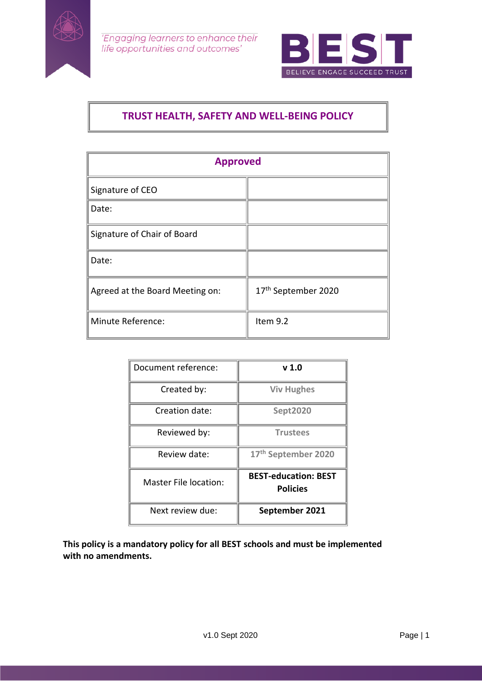



# **TRUST HEALTH, SAFETY AND WELL-BEING POLICY**

| <b>Approved</b>                 |                                 |  |
|---------------------------------|---------------------------------|--|
| Signature of CEO                |                                 |  |
| Date:                           |                                 |  |
| Signature of Chair of Board     |                                 |  |
| Date:                           |                                 |  |
| Agreed at the Board Meeting on: | 17 <sup>th</sup> September 2020 |  |
| Minute Reference:               | Item 9.2                        |  |

| Document reference:   | v <sub>1.0</sub>                               |
|-----------------------|------------------------------------------------|
| Created by:           | <b>Viv Hughes</b>                              |
| Creation date:        | <b>Sept2020</b>                                |
| Reviewed by:          | <b>Trustees</b>                                |
| Review date:          | 17th September 2020                            |
| Master File location: | <b>BEST-education: BEST</b><br><b>Policies</b> |
| Next review due:      | September 2021                                 |

**This policy is a mandatory policy for all BEST schools and must be implemented with no amendments.**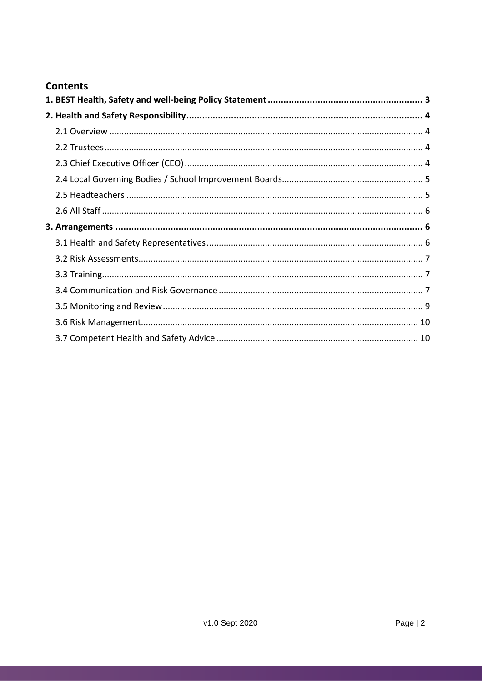## **Contents**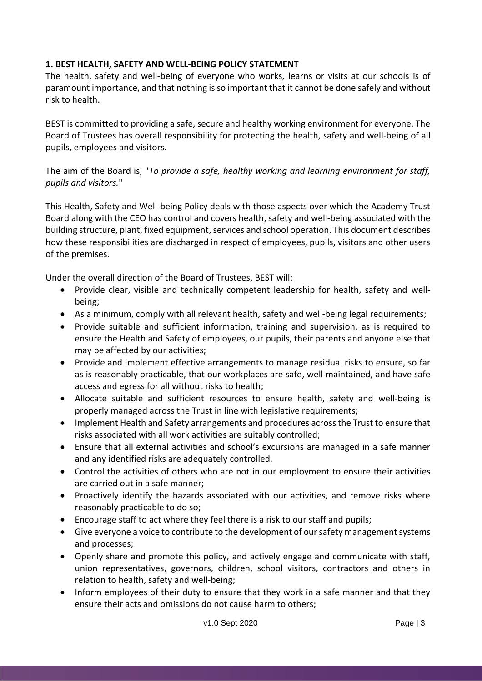## <span id="page-2-0"></span>**1. BEST HEALTH, SAFETY AND WELL-BEING POLICY STATEMENT**

The health, safety and well-being of everyone who works, learns or visits at our schools is of paramount importance, and that nothing is so important that it cannot be done safely and without risk to health.

BEST is committed to providing a safe, secure and healthy working environment for everyone. The Board of Trustees has overall responsibility for protecting the health, safety and well-being of all pupils, employees and visitors.

The aim of the Board is, "*To provide a safe, healthy working and learning environment for staff, pupils and visitors.*"

This Health, Safety and Well-being Policy deals with those aspects over which the Academy Trust Board along with the CEO has control and covers health, safety and well-being associated with the building structure, plant, fixed equipment, services and school operation. This document describes how these responsibilities are discharged in respect of employees, pupils, visitors and other users of the premises.

Under the overall direction of the Board of Trustees, BEST will:

- Provide clear, visible and technically competent leadership for health, safety and wellbeing;
- As a minimum, comply with all relevant health, safety and well-being legal requirements;
- Provide suitable and sufficient information, training and supervision, as is required to ensure the Health and Safety of employees, our pupils, their parents and anyone else that may be affected by our activities;
- Provide and implement effective arrangements to manage residual risks to ensure, so far as is reasonably practicable, that our workplaces are safe, well maintained, and have safe access and egress for all without risks to health;
- Allocate suitable and sufficient resources to ensure health, safety and well-being is properly managed across the Trust in line with legislative requirements;
- Implement Health and Safety arrangements and procedures across the Trust to ensure that risks associated with all work activities are suitably controlled;
- Ensure that all external activities and school's excursions are managed in a safe manner and any identified risks are adequately controlled.
- Control the activities of others who are not in our employment to ensure their activities are carried out in a safe manner;
- Proactively identify the hazards associated with our activities, and remove risks where reasonably practicable to do so;
- Encourage staff to act where they feel there is a risk to our staff and pupils;
- Give everyone a voice to contribute to the development of our safety management systems and processes;
- Openly share and promote this policy, and actively engage and communicate with staff, union representatives, governors, children, school visitors, contractors and others in relation to health, safety and well-being;
- Inform employees of their duty to ensure that they work in a safe manner and that they ensure their acts and omissions do not cause harm to others;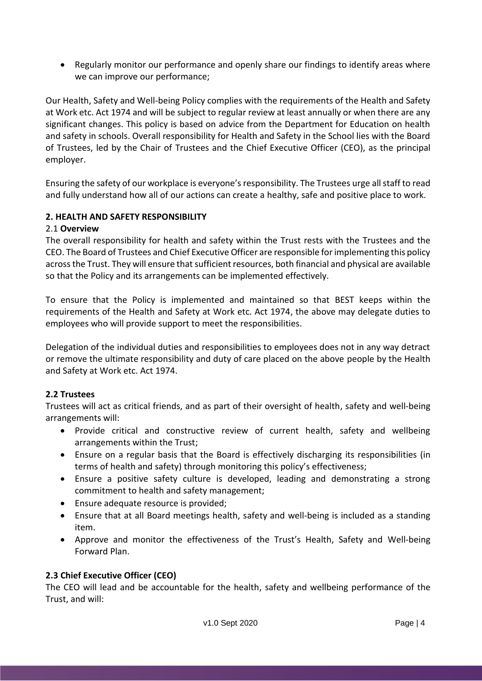Regularly monitor our performance and openly share our findings to identify areas where we can improve our performance;

Our Health, Safety and Well-being Policy complies with the requirements of the Health and Safety at Work etc. Act 1974 and will be subject to regular review at least annually or when there are any significant changes. This policy is based on advice from the Department for Education on health and safety in schools. Overall responsibility for Health and Safety in the School lies with the Board of Trustees, led by the Chair of Trustees and the Chief Executive Officer (CEO), as the principal employer.

Ensuring the safety of our workplace is everyone'sresponsibility. The Trustees urge all staff to read and fully understand how all of our actions can create a healthy, safe and positive place to work.

## <span id="page-3-0"></span>**2. HEALTH AND SAFETY RESPONSIBILITY**

#### <span id="page-3-1"></span>2.1 **Overview**

The overall responsibility for health and safety within the Trust rests with the Trustees and the CEO. The Board of Trustees and Chief Executive Officer are responsible for implementing this policy across the Trust. They will ensure that sufficient resources, both financial and physical are available so that the Policy and its arrangements can be implemented effectively.

To ensure that the Policy is implemented and maintained so that BEST keeps within the requirements of the Health and Safety at Work etc. Act 1974, the above may delegate duties to employees who will provide support to meet the responsibilities.

Delegation of the individual duties and responsibilities to employees does not in any way detract or remove the ultimate responsibility and duty of care placed on the above people by the Health and Safety at Work etc. Act 1974.

#### <span id="page-3-2"></span>**2.2 Trustees**

Trustees will act as critical friends, and as part of their oversight of health, safety and well-being arrangements will:

- Provide critical and constructive review of current health, safety and wellbeing arrangements within the Trust;
- Ensure on a regular basis that the Board is effectively discharging its responsibilities (in terms of health and safety) through monitoring this policy's effectiveness;
- Ensure a positive safety culture is developed, leading and demonstrating a strong commitment to health and safety management;
- Ensure adequate resource is provided;
- Ensure that at all Board meetings health, safety and well-being is included as a standing item.
- Approve and monitor the effectiveness of the Trust's Health, Safety and Well-being Forward Plan.

#### <span id="page-3-3"></span>**2.3 Chief Executive Officer (CEO)**

The CEO will lead and be accountable for the health, safety and wellbeing performance of the Trust, and will: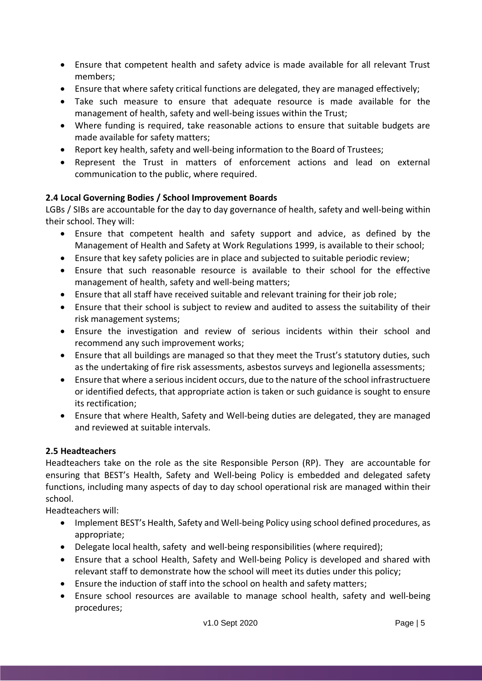- Ensure that competent health and safety advice is made available for all relevant Trust members;
- Ensure that where safety critical functions are delegated, they are managed effectively;
- Take such measure to ensure that adequate resource is made available for the management of health, safety and well-being issues within the Trust;
- Where funding is required, take reasonable actions to ensure that suitable budgets are made available for safety matters;
- Report key health, safety and well-being information to the Board of Trustees;
- Represent the Trust in matters of enforcement actions and lead on external communication to the public, where required.

## <span id="page-4-0"></span>**2.4 Local Governing Bodies / School Improvement Boards**

LGBs / SIBs are accountable for the day to day governance of health, safety and well-being within their school. They will:

- Ensure that competent health and safety support and advice, as defined by the Management of Health and Safety at Work Regulations 1999, is available to their school;
- Ensure that key safety policies are in place and subjected to suitable periodic review;
- Ensure that such reasonable resource is available to their school for the effective management of health, safety and well-being matters;
- Ensure that all staff have received suitable and relevant training for their job role;
- Ensure that their school is subject to review and audited to assess the suitability of their risk management systems;
- Ensure the investigation and review of serious incidents within their school and recommend any such improvement works;
- Ensure that all buildings are managed so that they meet the Trust's statutory duties, such as the undertaking of fire risk assessments, asbestos surveys and legionella assessments;
- Ensure that where a serious incident occurs, due to the nature of the school infrastructuere or identified defects, that appropriate action is taken or such guidance is sought to ensure its rectification;
- Ensure that where Health, Safety and Well-being duties are delegated, they are managed and reviewed at suitable intervals.

## <span id="page-4-1"></span>**2.5 Headteachers**

Headteachers take on the role as the site Responsible Person (RP). They are accountable for ensuring that BEST's Health, Safety and Well-being Policy is embedded and delegated safety functions, including many aspects of day to day school operational risk are managed within their school.

Headteachers will:

- Implement BEST's Health, Safety and Well-being Policy using school defined procedures, as appropriate;
- Delegate local health, safety and well-being responsibilities (where required);
- Ensure that a school Health, Safety and Well-being Policy is developed and shared with relevant staff to demonstrate how the school will meet its duties under this policy;
- Ensure the induction of staff into the school on health and safety matters;
- Ensure school resources are available to manage school health, safety and well-being procedures;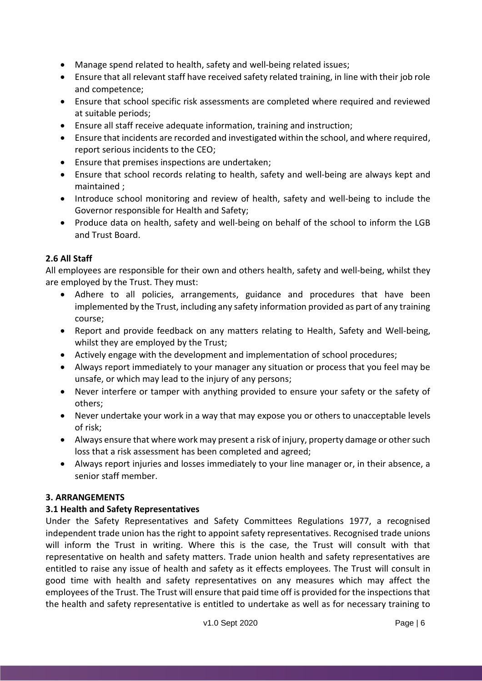- Manage spend related to health, safety and well-being related issues;
- Ensure that all relevant staff have received safety related training, in line with their job role and competence;
- Ensure that school specific risk assessments are completed where required and reviewed at suitable periods;
- Ensure all staff receive adequate information, training and instruction;
- Ensure that incidents are recorded and investigated within the school, and where required, report serious incidents to the CEO;
- Ensure that premises inspections are undertaken;
- Ensure that school records relating to health, safety and well-being are always kept and maintained ;
- Introduce school monitoring and review of health, safety and well-being to include the Governor responsible for Health and Safety;
- Produce data on health, safety and well-being on behalf of the school to inform the LGB and Trust Board.

## <span id="page-5-0"></span>**2.6 All Staff**

All employees are responsible for their own and others health, safety and well-being, whilst they are employed by the Trust. They must:

- Adhere to all policies, arrangements, guidance and procedures that have been implemented by the Trust, including any safety information provided as part of any training course;
- Report and provide feedback on any matters relating to Health, Safety and Well-being, whilst they are employed by the Trust;
- Actively engage with the development and implementation of school procedures;
- Always report immediately to your manager any situation or process that you feel may be unsafe, or which may lead to the injury of any persons;
- Never interfere or tamper with anything provided to ensure your safety or the safety of others;
- Never undertake your work in a way that may expose you or others to unacceptable levels of risk;
- Always ensure that where work may present a risk of injury, property damage or other such loss that a risk assessment has been completed and agreed;
- Always report injuries and losses immediately to your line manager or, in their absence, a senior staff member.

## <span id="page-5-1"></span>**3. ARRANGEMENTS**

## <span id="page-5-2"></span>**3.1 Health and Safety Representatives**

Under the Safety Representatives and Safety Committees Regulations 1977, a recognised independent trade union has the right to appoint safety representatives. Recognised trade unions will inform the Trust in writing. Where this is the case, the Trust will consult with that representative on health and safety matters. Trade union health and safety representatives are entitled to raise any issue of health and safety as it effects employees. The Trust will consult in good time with health and safety representatives on any measures which may affect the employees of the Trust. The Trust will ensure that paid time off is provided for the inspections that the health and safety representative is entitled to undertake as well as for necessary training to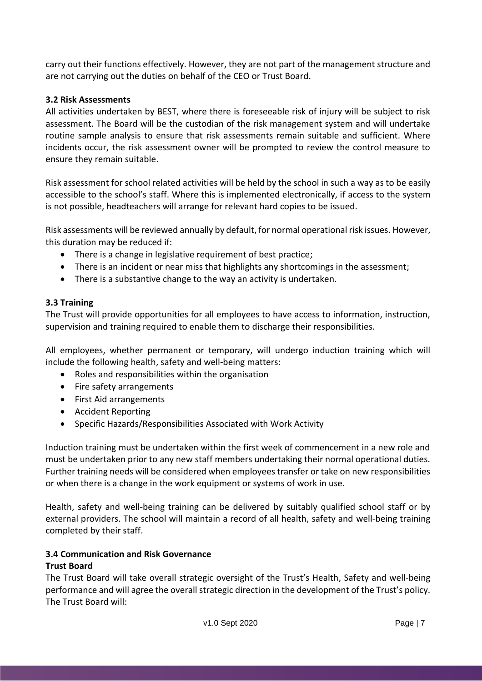carry out their functions effectively. However, they are not part of the management structure and are not carrying out the duties on behalf of the CEO or Trust Board.

## <span id="page-6-0"></span>**3.2 Risk Assessments**

All activities undertaken by BEST, where there is foreseeable risk of injury will be subject to risk assessment. The Board will be the custodian of the risk management system and will undertake routine sample analysis to ensure that risk assessments remain suitable and sufficient. Where incidents occur, the risk assessment owner will be prompted to review the control measure to ensure they remain suitable.

Risk assessment for school related activities will be held by the school in such a way as to be easily accessible to the school's staff. Where this is implemented electronically, if access to the system is not possible, headteachers will arrange for relevant hard copies to be issued.

Risk assessments will be reviewed annually by default, for normal operational risk issues. However, this duration may be reduced if:

- There is a change in legislative requirement of best practice;
- There is an incident or near miss that highlights any shortcomings in the assessment;
- There is a substantive change to the way an activity is undertaken.

#### <span id="page-6-1"></span>**3.3 Training**

The Trust will provide opportunities for all employees to have access to information, instruction, supervision and training required to enable them to discharge their responsibilities.

All employees, whether permanent or temporary, will undergo induction training which will include the following health, safety and well-being matters:

- Roles and responsibilities within the organisation
- Fire safety arrangements
- First Aid arrangements
- Accident Reporting
- Specific Hazards/Responsibilities Associated with Work Activity

Induction training must be undertaken within the first week of commencement in a new role and must be undertaken prior to any new staff members undertaking their normal operational duties. Further training needs will be considered when employees transfer or take on new responsibilities or when there is a change in the work equipment or systems of work in use.

Health, safety and well-being training can be delivered by suitably qualified school staff or by external providers. The school will maintain a record of all health, safety and well-being training completed by their staff.

#### <span id="page-6-2"></span>**3.4 Communication and Risk Governance**

## **Trust Board**

The Trust Board will take overall strategic oversight of the Trust's Health, Safety and well-being performance and will agree the overall strategic direction in the development of the Trust's policy. The Trust Board will: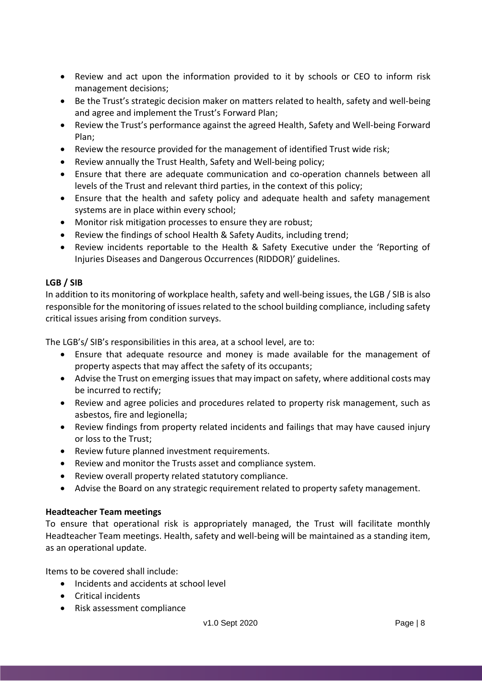- Review and act upon the information provided to it by schools or CEO to inform risk management decisions;
- Be the Trust's strategic decision maker on matters related to health, safety and well-being and agree and implement the Trust's Forward Plan;
- Review the Trust's performance against the agreed Health, Safety and Well-being Forward Plan;
- Review the resource provided for the management of identified Trust wide risk;
- Review annually the Trust Health, Safety and Well-being policy;
- Ensure that there are adequate communication and co-operation channels between all levels of the Trust and relevant third parties, in the context of this policy;
- Ensure that the health and safety policy and adequate health and safety management systems are in place within every school;
- Monitor risk mitigation processes to ensure they are robust;
- Review the findings of school Health & Safety Audits, including trend;
- Review incidents reportable to the Health & Safety Executive under the 'Reporting of Injuries Diseases and Dangerous Occurrences (RIDDOR)' guidelines.

## **LGB / SIB**

In addition to its monitoring of workplace health, safety and well-being issues, the LGB / SIB is also responsible for the monitoring of issues related to the school building compliance, including safety critical issues arising from condition surveys.

The LGB's/ SIB's responsibilities in this area, at a school level, are to:

- Ensure that adequate resource and money is made available for the management of property aspects that may affect the safety of its occupants;
- Advise the Trust on emerging issues that may impact on safety, where additional costs may be incurred to rectify;
- Review and agree policies and procedures related to property risk management, such as asbestos, fire and legionella;
- Review findings from property related incidents and failings that may have caused injury or loss to the Trust;
- Review future planned investment requirements.
- Review and monitor the Trusts asset and compliance system.
- Review overall property related statutory compliance.
- Advise the Board on any strategic requirement related to property safety management.

#### **Headteacher Team meetings**

To ensure that operational risk is appropriately managed, the Trust will facilitate monthly Headteacher Team meetings. Health, safety and well-being will be maintained as a standing item, as an operational update.

Items to be covered shall include:

- Incidents and accidents at school level
- Critical incidents
- Risk assessment compliance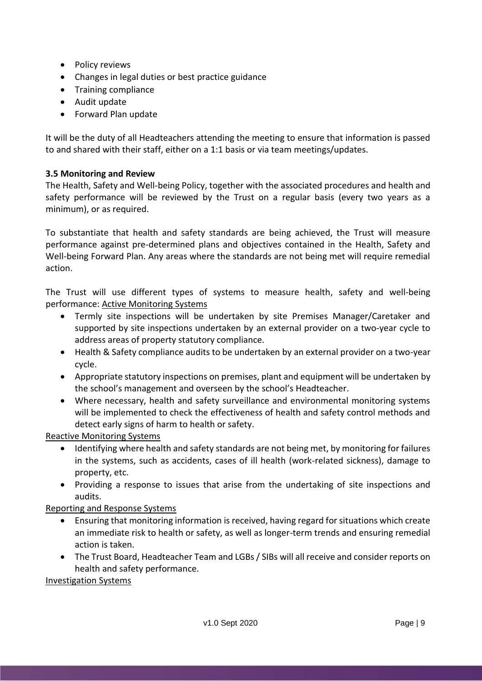- Policy reviews
- Changes in legal duties or best practice guidance
- Training compliance
- Audit update
- Forward Plan update

It will be the duty of all Headteachers attending the meeting to ensure that information is passed to and shared with their staff, either on a 1:1 basis or via team meetings/updates.

#### <span id="page-8-0"></span>**3.5 Monitoring and Review**

The Health, Safety and Well-being Policy, together with the associated procedures and health and safety performance will be reviewed by the Trust on a regular basis (every two years as a minimum), or as required.

To substantiate that health and safety standards are being achieved, the Trust will measure performance against pre-determined plans and objectives contained in the Health, Safety and Well-being Forward Plan. Any areas where the standards are not being met will require remedial action.

The Trust will use different types of systems to measure health, safety and well-being performance: Active Monitoring Systems

- Termly site inspections will be undertaken by site Premises Manager/Caretaker and supported by site inspections undertaken by an external provider on a two-year cycle to address areas of property statutory compliance.
- Health & Safety compliance audits to be undertaken by an external provider on a two-year cycle.
- Appropriate statutory inspections on premises, plant and equipment will be undertaken by the school's management and overseen by the school's Headteacher.
- Where necessary, health and safety surveillance and environmental monitoring systems will be implemented to check the effectiveness of health and safety control methods and detect early signs of harm to health or safety.

#### Reactive Monitoring Systems

- Identifying where health and safety standards are not being met, by monitoring for failures in the systems, such as accidents, cases of ill health (work-related sickness), damage to property, etc.
- Providing a response to issues that arise from the undertaking of site inspections and audits.

## Reporting and Response Systems

- Ensuring that monitoring information is received, having regard for situations which create an immediate risk to health or safety, as well as longer-term trends and ensuring remedial action is taken.
- The Trust Board, Headteacher Team and LGBs / SIBs will all receive and consider reports on health and safety performance.

#### Investigation Systems